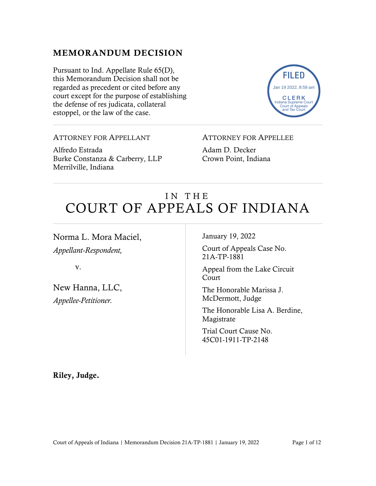## MEMORANDUM DECISION

Pursuant to Ind. Appellate Rule 65(D), this Memorandum Decision shall not be regarded as precedent or cited before any court except for the purpose of establishing the defense of res judicata, collateral estoppel, or the law of the case.



ATTORNEY FOR APPELLANT

Alfredo Estrada Burke Constanza & Carberry, LLP Merrilville, Indiana

ATTORNEY FOR APPELLEE

Adam D. Decker Crown Point, Indiana

# IN THE COURT OF APPEALS OF INDIANA

Norma L. Mora Maciel,

*Appellant-Respondent,*

v.

New Hanna, LLC, *Appellee-Petitioner.*

January 19, 2022

Court of Appeals Case No. 21A-TP-1881

Appeal from the Lake Circuit Court

The Honorable Marissa J. McDermott, Judge

The Honorable Lisa A. Berdine, Magistrate

Trial Court Cause No. 45C01-1911-TP-2148

Riley, Judge.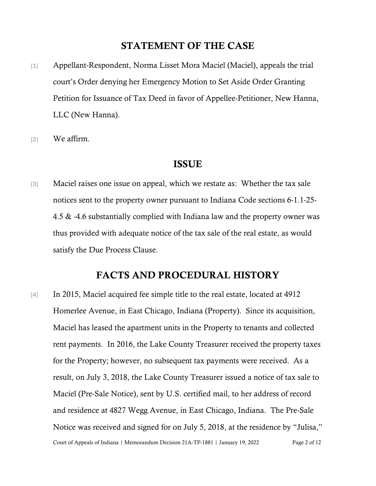### STATEMENT OF THE CASE

- [1] Appellant-Respondent, Norma Lisset Mora Maciel (Maciel), appeals the trial court's Order denying her Emergency Motion to Set Aside Order Granting Petition for Issuance of Tax Deed in favor of Appellee-Petitioner, New Hanna, LLC (New Hanna).
- [2] We affirm.

#### ISSUE

[3] Maciel raises one issue on appeal, which we restate as: Whether the tax sale notices sent to the property owner pursuant to Indiana Code sections 6-1.1-25- 4.5 & -4.6 substantially complied with Indiana law and the property owner was thus provided with adequate notice of the tax sale of the real estate, as would satisfy the Due Process Clause.

## FACTS AND PROCEDURAL HISTORY

Court of Appeals of Indiana | Memorandum Decision 21A-TP-1881 | January 19, 2022 Page 2 of 12 [4] In 2015, Maciel acquired fee simple title to the real estate, located at 4912 Homerlee Avenue, in East Chicago, Indiana (Property). Since its acquisition, Maciel has leased the apartment units in the Property to tenants and collected rent payments. In 2016, the Lake County Treasurer received the property taxes for the Property; however, no subsequent tax payments were received. As a result, on July 3, 2018, the Lake County Treasurer issued a notice of tax sale to Maciel (Pre-Sale Notice), sent by U.S. certified mail, to her address of record and residence at 4827 Wegg Avenue, in East Chicago, Indiana. The Pre-Sale Notice was received and signed for on July 5, 2018, at the residence by "Julisa,"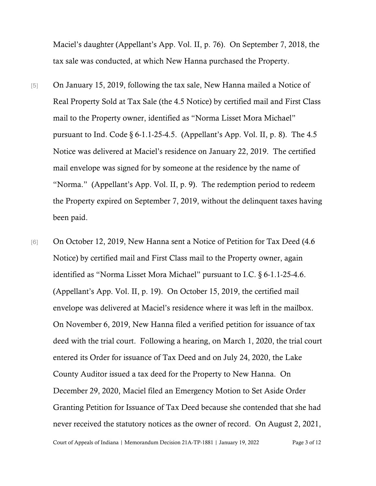Maciel's daughter (Appellant's App. Vol. II, p. 76). On September 7, 2018, the tax sale was conducted, at which New Hanna purchased the Property.

- [5] On January 15, 2019, following the tax sale, New Hanna mailed a Notice of Real Property Sold at Tax Sale (the 4.5 Notice) by certified mail and First Class mail to the Property owner, identified as "Norma Lisset Mora Michael" pursuant to Ind. Code  $\S 6$ -1.1-25-4.5. (Appellant's App. Vol. II, p. 8). The 4.5 Notice was delivered at Maciel's residence on January 22, 2019. The certified mail envelope was signed for by someone at the residence by the name of "Norma." (Appellant's App. Vol. II, p. 9). The redemption period to redeem the Property expired on September 7, 2019, without the delinquent taxes having been paid.
- [6] On October 12, 2019, New Hanna sent a Notice of Petition for Tax Deed (4.6) Notice) by certified mail and First Class mail to the Property owner, again identified as "Norma Lisset Mora Michael" pursuant to I.C. § 6-1.1-25-4.6. (Appellant's App. Vol. II, p. 19). On October 15, 2019, the certified mail envelope was delivered at Maciel's residence where it was left in the mailbox. On November 6, 2019, New Hanna filed a verified petition for issuance of tax deed with the trial court. Following a hearing, on March 1, 2020, the trial court entered its Order for issuance of Tax Deed and on July 24, 2020, the Lake County Auditor issued a tax deed for the Property to New Hanna. On December 29, 2020, Maciel filed an Emergency Motion to Set Aside Order Granting Petition for Issuance of Tax Deed because she contended that she had never received the statutory notices as the owner of record. On August 2, 2021,

Court of Appeals of Indiana | Memorandum Decision 21A-TP-1881 | January 19, 2022 Page 3 of 12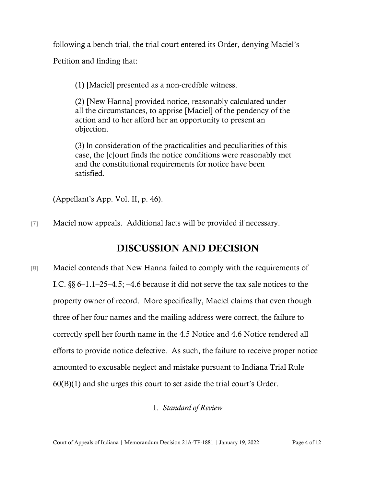following a bench trial, the trial court entered its Order, denying Maciel's Petition and finding that:

(1) [Maciel] presented as a non-credible witness.

(2) [New Hanna] provided notice, reasonably calculated under all the circumstances, to apprise [Maciel] of the pendency of the action and to her afford her an opportunity to present an objection.

(3) ln consideration of the practicalities and peculiarities of this case, the [c]ourt finds the notice conditions were reasonably met and the constitutional requirements for notice have been satisfied.

(Appellant's App. Vol. II, p. 46).

[7] Maciel now appeals. Additional facts will be provided if necessary.

## DISCUSSION AND DECISION

[8] Maciel contends that New Hanna failed to comply with the requirements of I.C. §§ 6–1.1–25–4.5; –4.6 because it did not serve the tax sale notices to the property owner of record. More specifically, Maciel claims that even though three of her four names and the mailing address were correct, the failure to correctly spell her fourth name in the 4.5 Notice and 4.6 Notice rendered all efforts to provide notice defective. As such, the failure to receive proper notice amounted to excusable neglect and mistake pursuant to Indiana Trial Rule 60(B)(1) and she urges this court to set aside the trial court's Order.

#### I. *Standard of Review*

Court of Appeals of Indiana | Memorandum Decision 21A-TP-1881 | January 19, 2022 Page 4 of 12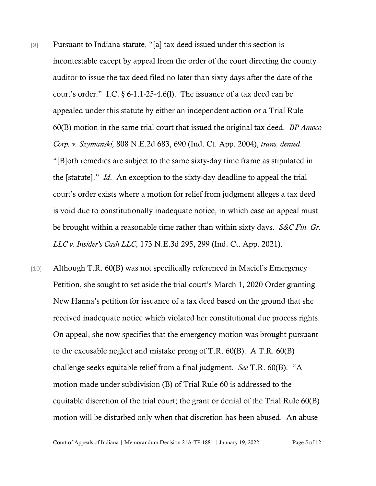- [9] Pursuant to Indiana statute, "[a] tax deed issued under this section is incontestable except by appeal from the order of the court directing the county auditor to issue the tax deed filed no later than sixty days after the date of the court's order." I.C. § 6-1.1-25-4.6(l). The issuance of a tax deed can be appealed under this statute by either an independent action or a Trial Rule 60(B) motion in the same trial court that issued the original tax deed. *BP Amoco Corp. v. Szymanski,* 808 N.E.2d 683, 690 (Ind. Ct. App. 2004), *trans. denied*. "[B]oth remedies are subject to the same sixty-day time frame as stipulated in the [statute]." *Id*. An exception to the sixty-day deadline to appeal the trial court's order exists where a motion for relief from judgment alleges a tax deed is void due to constitutionally inadequate notice, in which case an appeal must be brought within a reasonable time rather than within sixty days. *S&C Fin. Gr. LLC v. Insider's Cash LLC*, 173 N.E.3d 295, 299 (Ind. Ct. App. 2021).
- [10] Although T.R. 60(B) was not specifically referenced in Maciel's Emergency Petition, she sought to set aside the trial court's March 1, 2020 Order granting New Hanna's petition for issuance of a tax deed based on the ground that she received inadequate notice which violated her constitutional due process rights. On appeal, she now specifies that the emergency motion was brought pursuant to the excusable neglect and mistake prong of T.R. 60(B). A T.R. 60(B) challenge seeks equitable relief from a final judgment. *See* T.R. 60(B). "A motion made under subdivision (B) of Trial Rule 60 is addressed to the equitable discretion of the trial court; the grant or denial of the Trial Rule 60(B) motion will be disturbed only when that discretion has been abused. An abuse

Court of Appeals of Indiana | Memorandum Decision 21A-TP-1881 | January 19, 2022 Page 5 of 12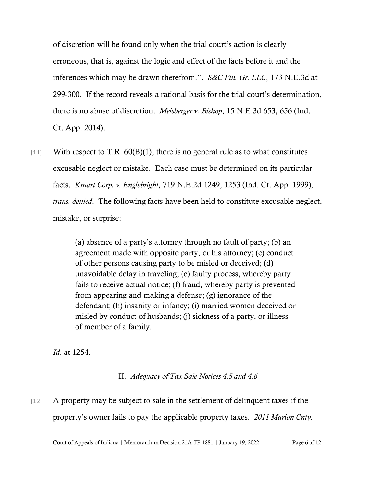of discretion will be found only when the trial court's action is clearly erroneous, that is, against the logic and effect of the facts before it and the inferences which may be drawn therefrom.". *S&C Fin. Gr. LLC*, 173 N.E.3d at 299-300. If the record reveals a rational basis for the trial court's determination, there is no abuse of discretion. *Meisberger v. Bishop*, 15 N.E.3d 653, 656 (Ind. Ct. App. 2014).

 $[11]$  With respect to T.R. 60(B)(1), there is no general rule as to what constitutes excusable neglect or mistake. Each case must be determined on its particular facts. *Kmart Corp. v. Englebright*, 719 N.E.2d 1249, 1253 (Ind. Ct. App. 1999), *trans. denied*. The following facts have been held to constitute excusable neglect, mistake, or surprise:

> (a) absence of a party's attorney through no fault of party; (b) an agreement made with opposite party, or his attorney; (c) conduct of other persons causing party to be misled or deceived; (d) unavoidable delay in traveling; (e) faulty process, whereby party fails to receive actual notice; (f) fraud, whereby party is prevented from appearing and making a defense; (g) ignorance of the defendant; (h) insanity or infancy; (i) married women deceived or misled by conduct of husbands; (j) sickness of a party, or illness of member of a family.

*Id*. at 1254.

II. *Adequacy of Tax Sale Notices 4.5 and 4.6*

# [12] A property may be subject to sale in the settlement of delinquent taxes if the property's owner fails to pay the applicable property taxes. *2011 Marion Cnty.*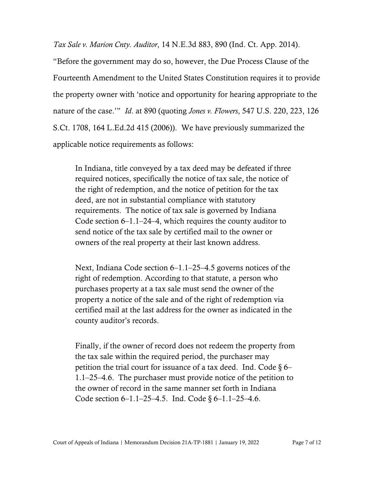*Tax Sale v. Marion Cnty. Auditor*, 14 N.E.3d 883, 890 (Ind. Ct. App. 2014).

"Before the government may do so, however, the Due Process Clause of the Fourteenth Amendment to the United States Constitution requires it to provide the property owner with 'notice and opportunity for hearing appropriate to the nature of the case.'" *Id*. at 890 (quoting *Jones v. Flowers*, 547 U.S. 220, 223, 126 S.Ct. 1708, 164 L.Ed.2d 415 (2006)). We have previously summarized the applicable notice requirements as follows:

In Indiana, title conveyed by a tax deed may be defeated if three required notices, specifically the notice of tax sale, the notice of the right of redemption, and the notice of petition for the tax deed, are not in substantial compliance with statutory requirements. The notice of tax sale is governed by Indiana Code section 6–1.1–24–4, which requires the county auditor to send notice of the tax sale by certified mail to the owner or owners of the real property at their last known address.

Next, Indiana Code section 6–1.1–25–4.5 governs notices of the right of redemption. According to that statute, a person who purchases property at a tax sale must send the owner of the property a notice of the sale and of the right of redemption via certified mail at the last address for the owner as indicated in the county auditor's records.

Finally, if the owner of record does not redeem the property from the tax sale within the required period, the purchaser may petition the trial court for issuance of a tax deed. Ind. Code  $\S$  6– 1.1–25–4.6. The purchaser must provide notice of the petition to the owner of record in the same manner set forth in Indiana Code section 6–1.1–25–4.5. Ind. Code § 6–1.1–25–4.6.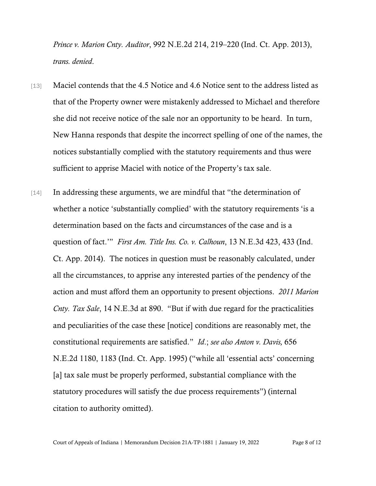*Prince v. Marion Cnty. Auditor*, 992 N.E.2d 214, 219–220 (Ind. Ct. App. 2013), *trans. denied*.

- [13] Maciel contends that the 4.5 Notice and 4.6 Notice sent to the address listed as that of the Property owner were mistakenly addressed to Michael and therefore she did not receive notice of the sale nor an opportunity to be heard. In turn, New Hanna responds that despite the incorrect spelling of one of the names, the notices substantially complied with the statutory requirements and thus were sufficient to apprise Maciel with notice of the Property's tax sale.
- [14] In addressing these arguments, we are mindful that "the determination of whether a notice 'substantially complied' with the statutory requirements 'is a determination based on the facts and circumstances of the case and is a question of fact.'" *First Am. Title Ins. Co. v. Calhoun*, 13 N.E.3d 423, 433 (Ind. Ct. App. 2014). The notices in question must be reasonably calculated, under all the circumstances, to apprise any interested parties of the pendency of the action and must afford them an opportunity to present objections. *2011 Marion Cnty. Tax Sale*, 14 N.E.3d at 890. "But if with due regard for the practicalities and peculiarities of the case these [notice] conditions are reasonably met, the constitutional requirements are satisfied." *Id*.; *see also Anton v. Davis,* 656 N.E.2d 1180, 1183 (Ind. Ct. App. 1995) ("while all 'essential acts' concerning [a] tax sale must be properly performed, substantial compliance with the statutory procedures will satisfy the due process requirements") (internal citation to authority omitted).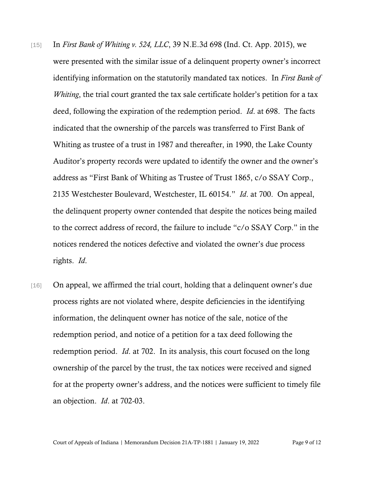- [15] In *First Bank of Whiting v. 524, LLC*, 39 N.E.3d 698 (Ind. Ct. App. 2015), we were presented with the similar issue of a delinquent property owner's incorrect identifying information on the statutorily mandated tax notices. In *First Bank of Whiting*, the trial court granted the tax sale certificate holder's petition for a tax deed, following the expiration of the redemption period. *Id*. at 698. The facts indicated that the ownership of the parcels was transferred to First Bank of Whiting as trustee of a trust in 1987 and thereafter, in 1990, the Lake County Auditor's property records were updated to identify the owner and the owner's address as "First Bank of Whiting as Trustee of Trust 1865, c/o SSAY Corp., 2135 Westchester Boulevard, Westchester, IL 60154." *Id*. at 700. On appeal, the delinquent property owner contended that despite the notices being mailed to the correct address of record, the failure to include "c/o SSAY Corp." in the notices rendered the notices defective and violated the owner's due process rights. *Id*.
- [16] On appeal, we affirmed the trial court, holding that a delinquent owner's due process rights are not violated where, despite deficiencies in the identifying information, the delinquent owner has notice of the sale, notice of the redemption period, and notice of a petition for a tax deed following the redemption period. *Id*. at 702. In its analysis, this court focused on the long ownership of the parcel by the trust, the tax notices were received and signed for at the property owner's address, and the notices were sufficient to timely file an objection. *Id*. at 702-03.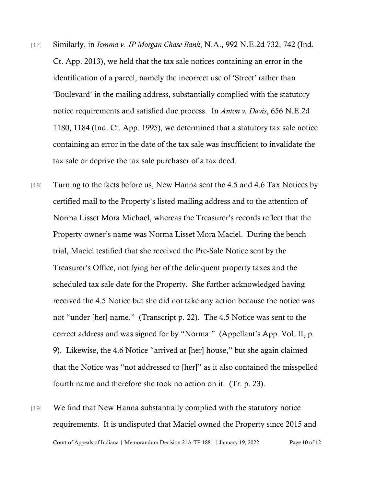- [17] Similarly, in *Iemma v. JP Morgan Chase Bank*, N.A., 992 N.E.2d 732, 742 (Ind. Ct. App. 2013), we held that the tax sale notices containing an error in the identification of a parcel, namely the incorrect use of 'Street' rather than 'Boulevard' in the mailing address, substantially complied with the statutory notice requirements and satisfied due process. In *Anton v. Davis*, 656 N.E.2d 1180, 1184 (Ind. Ct. App. 1995), we determined that a statutory tax sale notice containing an error in the date of the tax sale was insufficient to invalidate the tax sale or deprive the tax sale purchaser of a tax deed.
- [18] Turning to the facts before us, New Hanna sent the 4.5 and 4.6 Tax Notices by certified mail to the Property's listed mailing address and to the attention of Norma Lisset Mora Michael, whereas the Treasurer's records reflect that the Property owner's name was Norma Lisset Mora Maciel. During the bench trial, Maciel testified that she received the Pre-Sale Notice sent by the Treasurer's Office, notifying her of the delinquent property taxes and the scheduled tax sale date for the Property. She further acknowledged having received the 4.5 Notice but she did not take any action because the notice was not "under [her] name." (Transcript p. 22). The 4.5 Notice was sent to the correct address and was signed for by "Norma." (Appellant's App. Vol. II, p. 9). Likewise, the 4.6 Notice "arrived at [her] house," but she again claimed that the Notice was "not addressed to [her]" as it also contained the misspelled fourth name and therefore she took no action on it. (Tr. p. 23).
- Court of Appeals of Indiana | Memorandum Decision 21A-TP-1881 | January 19, 2022 Page 10 of 12 [19] We find that New Hanna substantially complied with the statutory notice requirements. It is undisputed that Maciel owned the Property since 2015 and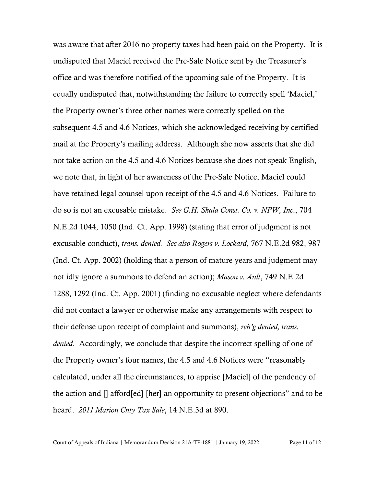was aware that after 2016 no property taxes had been paid on the Property. It is undisputed that Maciel received the Pre-Sale Notice sent by the Treasurer's office and was therefore notified of the upcoming sale of the Property. It is equally undisputed that, notwithstanding the failure to correctly spell 'Maciel,' the Property owner's three other names were correctly spelled on the subsequent 4.5 and 4.6 Notices, which she acknowledged receiving by certified mail at the Property's mailing address. Although she now asserts that she did not take action on the 4.5 and 4.6 Notices because she does not speak English, we note that, in light of her awareness of the Pre-Sale Notice, Maciel could have retained legal counsel upon receipt of the 4.5 and 4.6 Notices. Failure to do so is not an excusable mistake. *See G.H. Skala Const. Co. v. NPW, Inc*., 704 N.E.2d 1044, 1050 (Ind. Ct. App. 1998) (stating that error of judgment is not excusable conduct), *trans. denied. See also Rogers v. Lockard*, 767 N.E.2d 982, 987 (Ind. Ct. App. 2002) (holding that a person of mature years and judgment may not idly ignore a summons to defend an action); *Mason v. Ault*, 749 N.E.2d 1288, 1292 (Ind. Ct. App. 2001) (finding no excusable neglect where defendants did not contact a lawyer or otherwise make any arrangements with respect to their defense upon receipt of complaint and summons), *reh'g denied, trans. denied*. Accordingly, we conclude that despite the incorrect spelling of one of the Property owner's four names, the 4.5 and 4.6 Notices were "reasonably calculated, under all the circumstances, to apprise [Maciel] of the pendency of the action and [] afford[ed] [her] an opportunity to present objections" and to be heard. *2011 Marion Cnty Tax Sale*, 14 N.E.3d at 890.

Court of Appeals of Indiana | Memorandum Decision 21A-TP-1881 | January 19, 2022 Page 11 of 12